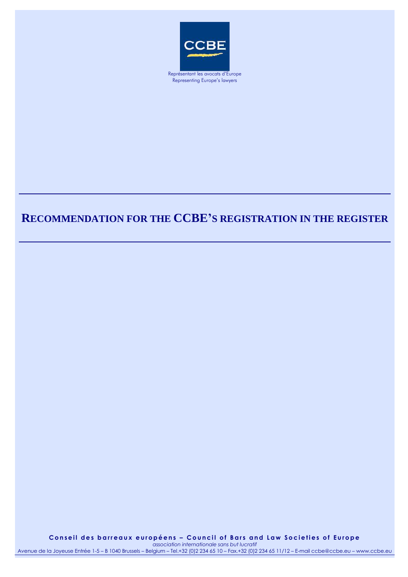

Representing Europe's lawyers

## **RECOMMENDATION FOR THE CCBE'S REGISTRATION IN THE REGISTER**

Conseil des barreaux européens - Council of Bars and Law Societies of Europe *association internationale sans but lucratif*

Avenue de la Joyeuse Entrée 1-5 – B 1040 Brussels – Belgium – Tel.+32 (0)2 234 65 10 – Fax.+32 (0)2 234 65 11/12 – E-mail ccbe@ccbe.eu – www.ccbe.eu